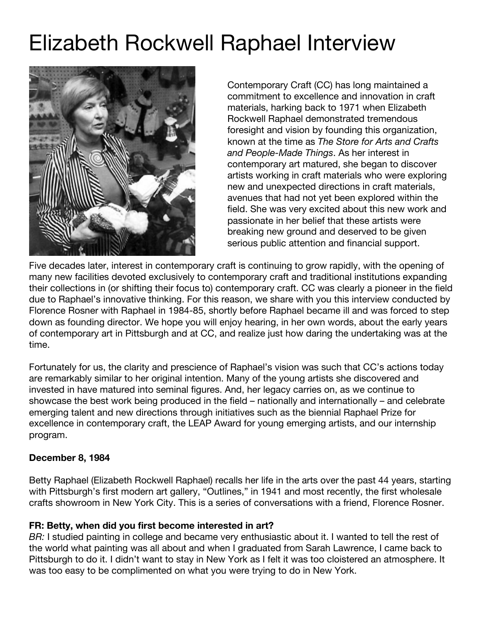# Elizabeth Rockwell Raphael Interview



Contemporary Craft (CC) has long maintained a commitment to excellence and innovation in craft materials, harking back to 1971 when Elizabeth Rockwell Raphael demonstrated tremendous foresight and vision by founding this organization, known at the time as *The Store for Arts and Crafts and People-Made Things*. As her interest in contemporary art matured, she began to discover artists working in craft materials who were exploring new and unexpected directions in craft materials, avenues that had not yet been explored within the field. She was very excited about this new work and passionate in her belief that these artists were breaking new ground and deserved to be given serious public attention and financial support.

Five decades later, interest in contemporary craft is continuing to grow rapidly, with the opening of many new facilities devoted exclusively to contemporary craft and traditional institutions expanding their collections in (or shifting their focus to) contemporary craft. CC was clearly a pioneer in the field due to Raphael's innovative thinking. For this reason, we share with you this interview conducted by Florence Rosner with Raphael in 1984-85, shortly before Raphael became ill and was forced to step down as founding director. We hope you will enjoy hearing, in her own words, about the early years of contemporary art in Pittsburgh and at CC, and realize just how daring the undertaking was at the time.

Fortunately for us, the clarity and prescience of Raphael's vision was such that CC's actions today are remarkably similar to her original intention. Many of the young artists she discovered and invested in have matured into seminal figures. And, her legacy carries on, as we continue to showcase the best work being produced in the field – nationally and internationally – and celebrate emerging talent and new directions through initiatives such as the biennial Raphael Prize for excellence in contemporary craft, the LEAP Award for young emerging artists, and our internship program.

#### **December 8, 1984**

Betty Raphael (Elizabeth Rockwell Raphael) recalls her life in the arts over the past 44 years, starting with Pittsburgh's first modern art gallery, "Outlines," in 1941 and most recently, the first wholesale crafts showroom in New York City. This is a series of conversations with a friend, Florence Rosner.

#### **FR: Betty, when did you first become interested in art?**

*BR:* I studied painting in college and became very enthusiastic about it. I wanted to tell the rest of the world what painting was all about and when I graduated from Sarah Lawrence, I came back to Pittsburgh to do it. I didn't want to stay in New York as I felt it was too cloistered an atmosphere. It was too easy to be complimented on what you were trying to do in New York.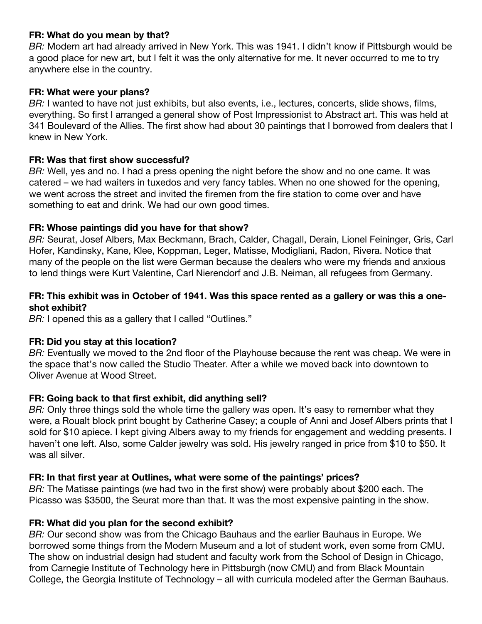#### **FR: What do you mean by that?**

*BR:* Modern art had already arrived in New York. This was 1941. I didn't know if Pittsburgh would be a good place for new art, but I felt it was the only alternative for me. It never occurred to me to try anywhere else in the country.

#### **FR: What were your plans?**

*BR:* I wanted to have not just exhibits, but also events, i.e., lectures, concerts, slide shows, films, everything. So first I arranged a general show of Post Impressionist to Abstract art. This was held at 341 Boulevard of the Allies. The first show had about 30 paintings that I borrowed from dealers that I knew in New York.

#### **FR: Was that first show successful?**

*BR:* Well, yes and no. I had a press opening the night before the show and no one came. It was catered – we had waiters in tuxedos and very fancy tables. When no one showed for the opening, we went across the street and invited the firemen from the fire station to come over and have something to eat and drink. We had our own good times.

### **FR: Whose paintings did you have for that show?**

*BR:* Seurat, Josef Albers, Max Beckmann, Brach, Calder, Chagall, Derain, Lionel Feininger, Gris, Carl Hofer, Kandinsky, Kane, Klee, Koppman, Leger, Matisse, Modigliani, Radon, Rivera. Notice that many of the people on the list were German because the dealers who were my friends and anxious to lend things were Kurt Valentine, Carl Nierendorf and J.B. Neiman, all refugees from Germany.

#### FR: This exhibit was in October of 1941. Was this space rented as a gallery or was this a one**shot exhibit?**

*BR:* I opened this as a gallery that I called "Outlines."

## **FR: Did you stay at this location?**

*BR:* Eventually we moved to the 2nd floor of the Playhouse because the rent was cheap. We were in the space that's now called the Studio Theater. After a while we moved back into downtown to Oliver Avenue at Wood Street.

## **FR: Going back to that first exhibit, did anything sell?**

*BR:* Only three things sold the whole time the gallery was open. It's easy to remember what they were, a Roualt block print bought by Catherine Casey; a couple of Anni and Josef Albers prints that I sold for \$10 apiece. I kept giving Albers away to my friends for engagement and wedding presents. I haven't one left. Also, some Calder jewelry was sold. His jewelry ranged in price from \$10 to \$50. It was all silver.

## **FR: In that first year at Outlines, what were some of the paintings' prices?**

*BR:* The Matisse paintings (we had two in the first show) were probably about \$200 each. The Picasso was \$3500, the Seurat more than that. It was the most expensive painting in the show.

## **FR: What did you plan for the second exhibit?**

*BR:* Our second show was from the Chicago Bauhaus and the earlier Bauhaus in Europe. We borrowed some things from the Modern Museum and a lot of student work, even some from CMU. The show on industrial design had student and faculty work from the School of Design in Chicago, from Carnegie Institute of Technology here in Pittsburgh (now CMU) and from Black Mountain College, the Georgia Institute of Technology – all with curricula modeled after the German Bauhaus.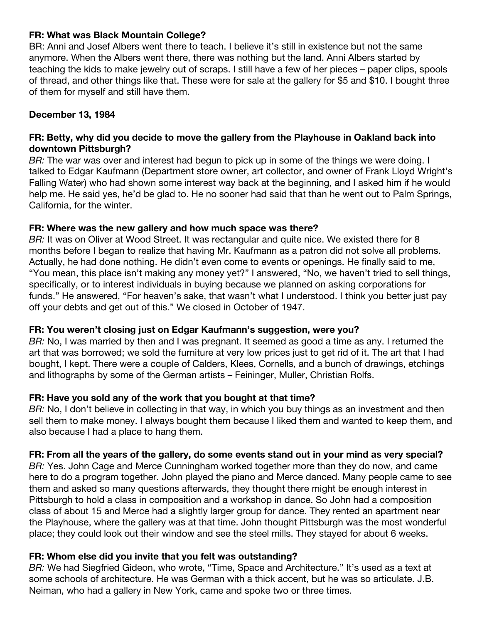#### **FR: What was Black Mountain College?**

BR: Anni and Josef Albers went there to teach. I believe it's still in existence but not the same anymore. When the Albers went there, there was nothing but the land. Anni Albers started by teaching the kids to make jewelry out of scraps. I still have a few of her pieces – paper clips, spools of thread, and other things like that. These were for sale at the gallery for \$5 and \$10. I bought three of them for myself and still have them.

## **December 13, 1984**

### **FR: Betty, why did you decide to move the gallery from the Playhouse in Oakland back into downtown Pittsburgh?**

*BR:* The war was over and interest had begun to pick up in some of the things we were doing. I talked to Edgar Kaufmann (Department store owner, art collector, and owner of Frank Lloyd Wright's Falling Water) who had shown some interest way back at the beginning, and I asked him if he would help me. He said yes, he'd be glad to. He no sooner had said that than he went out to Palm Springs, California, for the winter.

#### **FR: Where was the new gallery and how much space was there?**

*BR:* It was on Oliver at Wood Street. It was rectangular and quite nice. We existed there for 8 months before I began to realize that having Mr. Kaufmann as a patron did not solve all problems. Actually, he had done nothing. He didn't even come to events or openings. He finally said to me, "You mean, this place isn't making any money yet?" I answered, "No, we haven't tried to sell things, specifically, or to interest individuals in buying because we planned on asking corporations for funds." He answered, "For heaven's sake, that wasn't what I understood. I think you better just pay off your debts and get out of this." We closed in October of 1947.

## **FR: You weren't closing just on Edgar Kaufmann's suggestion, were you?**

*BR:* No, I was married by then and I was pregnant. It seemed as good a time as any. I returned the art that was borrowed; we sold the furniture at very low prices just to get rid of it. The art that I had bought, I kept. There were a couple of Calders, Klees, Cornells, and a bunch of drawings, etchings and lithographs by some of the German artists – Feininger, Muller, Christian Rolfs.

## **FR: Have you sold any of the work that you bought at that time?**

*BR:* No, I don't believe in collecting in that way, in which you buy things as an investment and then sell them to make money. I always bought them because I liked them and wanted to keep them, and also because I had a place to hang them.

#### FR: From all the years of the gallery, do some events stand out in your mind as very special?

*BR:* Yes. John Cage and Merce Cunningham worked together more than they do now, and came here to do a program together. John played the piano and Merce danced. Many people came to see them and asked so many questions afterwards, they thought there might be enough interest in Pittsburgh to hold a class in composition and a workshop in dance. So John had a composition class of about 15 and Merce had a slightly larger group for dance. They rented an apartment near the Playhouse, where the gallery was at that time. John thought Pittsburgh was the most wonderful place; they could look out their window and see the steel mills. They stayed for about 6 weeks.

## **FR: Whom else did you invite that you felt was outstanding?**

*BR:* We had Siegfried Gideon, who wrote, "Time, Space and Architecture." It's used as a text at some schools of architecture. He was German with a thick accent, but he was so articulate. J.B. Neiman, who had a gallery in New York, came and spoke two or three times.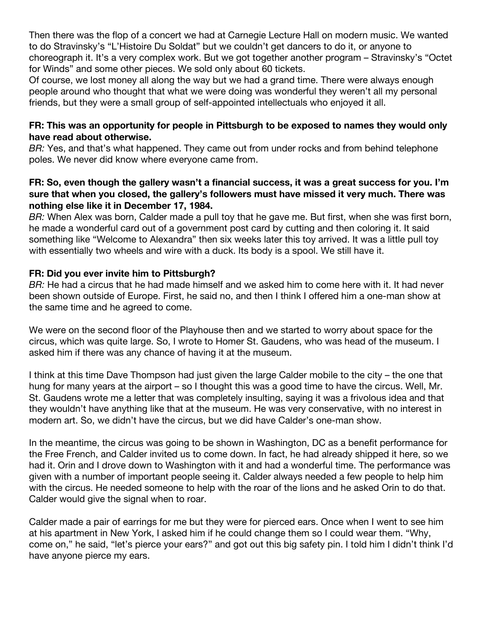Then there was the flop of a concert we had at Carnegie Lecture Hall on modern music. We wanted to do Stravinsky's "L'Histoire Du Soldat" but we couldn't get dancers to do it, or anyone to choreograph it. It's a very complex work. But we got together another program – Stravinsky's "Octet for Winds" and some other pieces. We sold only about 60 tickets.

Of course, we lost money all along the way but we had a grand time. There were always enough people around who thought that what we were doing was wonderful they weren't all my personal friends, but they were a small group of self-appointed intellectuals who enjoyed it all.

## **FR: This was an opportunity for people in Pittsburgh to be exposed to names they would only have read about otherwise.**

*BR:* Yes, and that's what happened. They came out from under rocks and from behind telephone poles. We never did know where everyone came from.

## **FR: So, even though the gallery wasn't a financial success, it was a great success for you. I'm sure that when you closed, the gallery's followers must have missed it very much. There was nothing else like it in December 17, 1984.**

*BR:* When Alex was born, Calder made a pull toy that he gave me. But first, when she was first born, he made a wonderful card out of a government post card by cutting and then coloring it. It said something like "Welcome to Alexandra" then six weeks later this toy arrived. It was a little pull toy with essentially two wheels and wire with a duck. Its body is a spool. We still have it.

# **FR: Did you ever invite him to Pittsburgh?**

*BR:* He had a circus that he had made himself and we asked him to come here with it. It had never been shown outside of Europe. First, he said no, and then I think I offered him a one-man show at the same time and he agreed to come.

We were on the second floor of the Playhouse then and we started to worry about space for the circus, which was quite large. So, I wrote to Homer St. Gaudens, who was head of the museum. I asked him if there was any chance of having it at the museum.

I think at this time Dave Thompson had just given the large Calder mobile to the city – the one that hung for many years at the airport – so I thought this was a good time to have the circus. Well, Mr. St. Gaudens wrote me a letter that was completely insulting, saying it was a frivolous idea and that they wouldn't have anything like that at the museum. He was very conservative, with no interest in modern art. So, we didn't have the circus, but we did have Calder's one-man show.

In the meantime, the circus was going to be shown in Washington, DC as a benefit performance for the Free French, and Calder invited us to come down. In fact, he had already shipped it here, so we had it. Orin and I drove down to Washington with it and had a wonderful time. The performance was given with a number of important people seeing it. Calder always needed a few people to help him with the circus. He needed someone to help with the roar of the lions and he asked Orin to do that. Calder would give the signal when to roar.

Calder made a pair of earrings for me but they were for pierced ears. Once when I went to see him at his apartment in New York, I asked him if he could change them so I could wear them. "Why, come on," he said, "let's pierce your ears?" and got out this big safety pin. I told him I didn't think I'd have anyone pierce my ears.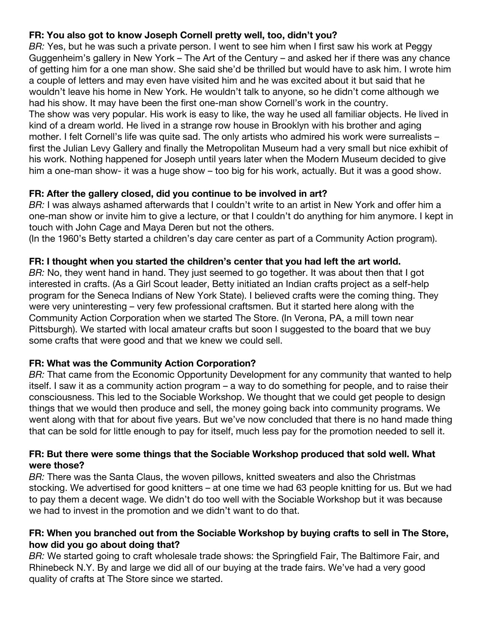# **FR: You also got to know Joseph Cornell pretty well, too, didn't you?**

*BR:* Yes, but he was such a private person. I went to see him when I first saw his work at Peggy Guggenheim's gallery in New York – The Art of the Century – and asked her if there was any chance of getting him for a one man show. She said she'd be thrilled but would have to ask him. I wrote him a couple of letters and may even have visited him and he was excited about it but said that he wouldn't leave his home in New York. He wouldn't talk to anyone, so he didn't come although we had his show. It may have been the first one-man show Cornell's work in the country. The show was very popular. His work is easy to like, the way he used all familiar objects. He lived in kind of a dream world. He lived in a strange row house in Brooklyn with his brother and aging mother. I felt Cornell's life was quite sad. The only artists who admired his work were surrealists – first the Julian Levy Gallery and finally the Metropolitan Museum had a very small but nice exhibit of his work. Nothing happened for Joseph until years later when the Modern Museum decided to give

## **FR: After the gallery closed, did you continue to be involved in art?**

*BR:* I was always ashamed afterwards that I couldn't write to an artist in New York and offer him a one-man show or invite him to give a lecture, or that I couldn't do anything for him anymore. I kept in touch with John Cage and Maya Deren but not the others.

him a one-man show- it was a huge show – too big for his work, actually. But it was a good show.

(In the 1960's Betty started a children's day care center as part of a Community Action program).

## **FR: I thought when you started the children's center that you had left the art world.**

*BR:* No, they went hand in hand. They just seemed to go together. It was about then that I got interested in crafts. (As a Girl Scout leader, Betty initiated an Indian crafts project as a self-help program for the Seneca Indians of New York State). I believed crafts were the coming thing. They were very uninteresting – very few professional craftsmen. But it started here along with the Community Action Corporation when we started The Store. (In Verona, PA, a mill town near Pittsburgh). We started with local amateur crafts but soon I suggested to the board that we buy some crafts that were good and that we knew we could sell.

## **FR: What was the Community Action Corporation?**

*BR:* That came from the Economic Opportunity Development for any community that wanted to help itself. I saw it as a community action program – a way to do something for people, and to raise their consciousness. This led to the Sociable Workshop. We thought that we could get people to design things that we would then produce and sell, the money going back into community programs. We went along with that for about five years. But we've now concluded that there is no hand made thing that can be sold for little enough to pay for itself, much less pay for the promotion needed to sell it.

#### **FR: But there were some things that the Sociable Workshop produced that sold well. What were those?**

*BR:* There was the Santa Claus, the woven pillows, knitted sweaters and also the Christmas stocking. We advertised for good knitters – at one time we had 63 people knitting for us. But we had to pay them a decent wage. We didn't do too well with the Sociable Workshop but it was because we had to invest in the promotion and we didn't want to do that.

## **FR: When you branched out from the Sociable Workshop by buying crafts to sell in The Store, how did you go about doing that?**

*BR:* We started going to craft wholesale trade shows: the Springfield Fair, The Baltimore Fair, and Rhinebeck N.Y. By and large we did all of our buying at the trade fairs. We've had a very good quality of crafts at The Store since we started.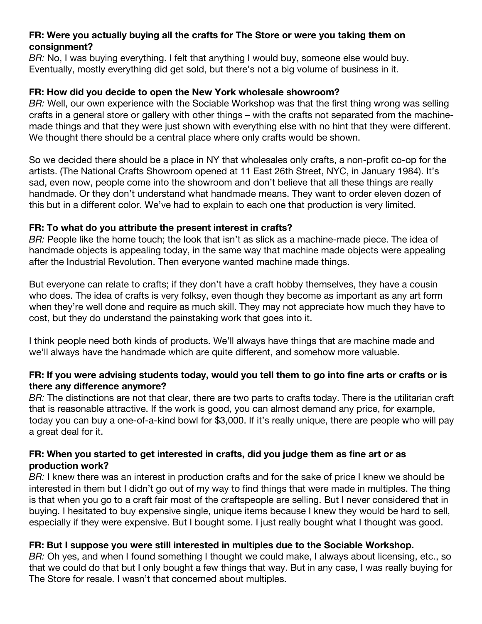## **FR: Were you actually buying all the crafts for The Store or were you taking them on consignment?**

*BR:* No, I was buying everything. I felt that anything I would buy, someone else would buy. Eventually, mostly everything did get sold, but there's not a big volume of business in it.

## **FR: How did you decide to open the New York wholesale showroom?**

*BR:* Well, our own experience with the Sociable Workshop was that the first thing wrong was selling crafts in a general store or gallery with other things – with the crafts not separated from the machinemade things and that they were just shown with everything else with no hint that they were different. We thought there should be a central place where only crafts would be shown.

So we decided there should be a place in NY that wholesales only crafts, a non-profit co-op for the artists. (The National Crafts Showroom opened at 11 East 26th Street, NYC, in January 1984). It's sad, even now, people come into the showroom and don't believe that all these things are really handmade. Or they don't understand what handmade means. They want to order eleven dozen of this but in a different color. We've had to explain to each one that production is very limited.

# **FR: To what do you attribute the present interest in crafts?**

*BR:* People like the home touch; the look that isn't as slick as a machine-made piece. The idea of handmade objects is appealing today, in the same way that machine made objects were appealing after the Industrial Revolution. Then everyone wanted machine made things.

But everyone can relate to crafts; if they don't have a craft hobby themselves, they have a cousin who does. The idea of crafts is very folksy, even though they become as important as any art form when they're well done and require as much skill. They may not appreciate how much they have to cost, but they do understand the painstaking work that goes into it.

I think people need both kinds of products. We'll always have things that are machine made and we'll always have the handmade which are quite different, and somehow more valuable.

## FR: If you were advising students today, would you tell them to go into fine arts or crafts or is **there any difference anymore?**

*BR:* The distinctions are not that clear, there are two parts to crafts today. There is the utilitarian craft that is reasonable attractive. If the work is good, you can almost demand any price, for example, today you can buy a one-of-a-kind bowl for \$3,000. If it's really unique, there are people who will pay a great deal for it.

## **FR: When you started to get interested in crafts, did you judge them as fine art or as production work?**

*BR:* I knew there was an interest in production crafts and for the sake of price I knew we should be interested in them but I didn't go out of my way to find things that were made in multiples. The thing is that when you go to a craft fair most of the craftspeople are selling. But I never considered that in buying. I hesitated to buy expensive single, unique items because I knew they would be hard to sell, especially if they were expensive. But I bought some. I just really bought what I thought was good.

# **FR: But I suppose you were still interested in multiples due to the Sociable Workshop.**

*BR:* Oh yes, and when I found something I thought we could make, I always about licensing, etc., so that we could do that but I only bought a few things that way. But in any case, I was really buying for The Store for resale. I wasn't that concerned about multiples.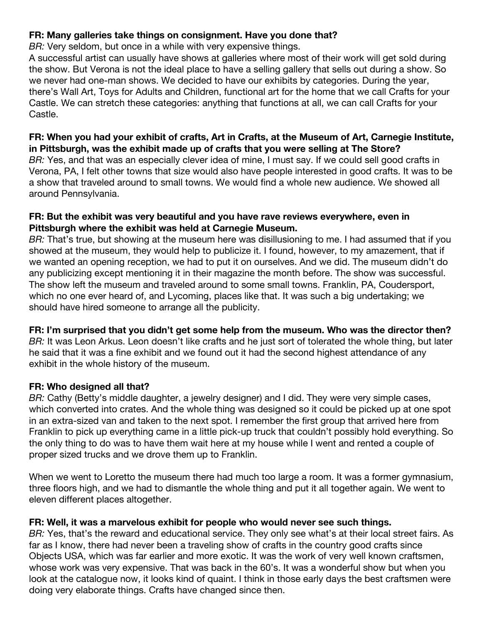## **FR: Many galleries take things on consignment. Have you done that?**

*BR:* Very seldom, but once in a while with very expensive things.

A successful artist can usually have shows at galleries where most of their work will get sold during the show. But Verona is not the ideal place to have a selling gallery that sells out during a show. So we never had one-man shows. We decided to have our exhibits by categories. During the year, there's Wall Art, Toys for Adults and Children, functional art for the home that we call Crafts for your Castle. We can stretch these categories: anything that functions at all, we can call Crafts for your Castle.

## **FR: When you had your exhibit of crafts, Art in Crafts, at the Museum of Art, Carnegie Institute, in Pittsburgh, was the exhibit made up of crafts that you were selling at The Store?**

*BR:* Yes, and that was an especially clever idea of mine, I must say. If we could sell good crafts in Verona, PA, I felt other towns that size would also have people interested in good crafts. It was to be a show that traveled around to small towns. We would find a whole new audience. We showed all around Pennsylvania.

## **FR: But the exhibit was very beautiful and you have rave reviews everywhere, even in Pittsburgh where the exhibit was held at Carnegie Museum.**

*BR:* That's true, but showing at the museum here was disillusioning to me. I had assumed that if you showed at the museum, they would help to publicize it. I found, however, to my amazement, that if we wanted an opening reception, we had to put it on ourselves. And we did. The museum didn't do any publicizing except mentioning it in their magazine the month before. The show was successful. The show left the museum and traveled around to some small towns. Franklin, PA, Coudersport, which no one ever heard of, and Lycoming, places like that. It was such a big undertaking; we should have hired someone to arrange all the publicity.

# **FR: I'm surprised that you didn't get some help from the museum. Who was the director then?**

*BR:* It was Leon Arkus. Leon doesn't like crafts and he just sort of tolerated the whole thing, but later he said that it was a fine exhibit and we found out it had the second highest attendance of any exhibit in the whole history of the museum.

## **FR: Who designed all that?**

*BR:* Cathy (Betty's middle daughter, a jewelry designer) and I did. They were very simple cases, which converted into crates. And the whole thing was designed so it could be picked up at one spot in an extra-sized van and taken to the next spot. I remember the first group that arrived here from Franklin to pick up everything came in a little pick-up truck that couldn't possibly hold everything. So the only thing to do was to have them wait here at my house while I went and rented a couple of proper sized trucks and we drove them up to Franklin.

When we went to Loretto the museum there had much too large a room. It was a former gymnasium, three floors high, and we had to dismantle the whole thing and put it all together again. We went to eleven different places altogether.

## **FR: Well, it was a marvelous exhibit for people who would never see such things.**

*BR:* Yes, that's the reward and educational service. They only see what's at their local street fairs. As far as I know, there had never been a traveling show of crafts in the country good crafts since Objects USA, which was far earlier and more exotic. It was the work of very well known craftsmen, whose work was very expensive. That was back in the 60's. It was a wonderful show but when you look at the catalogue now, it looks kind of quaint. I think in those early days the best craftsmen were doing very elaborate things. Crafts have changed since then.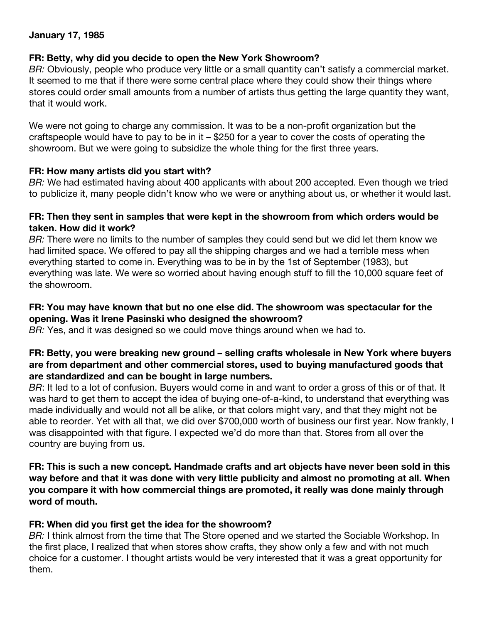## **January 17, 1985**

#### **FR: Betty, why did you decide to open the New York Showroom?**

*BR:* Obviously, people who produce very little or a small quantity can't satisfy a commercial market. It seemed to me that if there were some central place where they could show their things where stores could order small amounts from a number of artists thus getting the large quantity they want, that it would work.

We were not going to charge any commission. It was to be a non-profit organization but the craftspeople would have to pay to be in it – \$250 for a year to cover the costs of operating the showroom. But we were going to subsidize the whole thing for the first three years.

### **FR: How many artists did you start with?**

*BR:* We had estimated having about 400 applicants with about 200 accepted. Even though we tried to publicize it, many people didn't know who we were or anything about us, or whether it would last.

### **FR: Then they sent in samples that were kept in the showroom from which orders would be taken. How did it work?**

*BR:* There were no limits to the number of samples they could send but we did let them know we had limited space. We offered to pay all the shipping charges and we had a terrible mess when everything started to come in. Everything was to be in by the 1st of September (1983), but everything was late. We were so worried about having enough stuff to fill the 10,000 square feet of the showroom.

## **FR: You may have known that but no one else did. The showroom was spectacular for the opening. Was it Irene Pasinski who designed the showroom?**

*BR:* Yes, and it was designed so we could move things around when we had to.

## **FR: Betty, you were breaking new ground – selling crafts wholesale in New York where buyers are from department and other commercial stores, used to buying manufactured goods that are standardized and can be bought in large numbers.**

*BR*: It led to a lot of confusion. Buyers would come in and want to order a gross of this or of that. It was hard to get them to accept the idea of buying one-of-a-kind, to understand that everything was made individually and would not all be alike, or that colors might vary, and that they might not be able to reorder. Yet with all that, we did over \$700,000 worth of business our first year. Now frankly, I was disappointed with that figure. I expected we'd do more than that. Stores from all over the country are buying from us.

**FR: This is such a new concept. Handmade crafts and art objects have never been sold in this way before and that it was done with very little publicity and almost no promoting at all. When you compare it with how commercial things are promoted, it really was done mainly through word of mouth.**

## **FR: When did you first get the idea for the showroom?**

*BR:* I think almost from the time that The Store opened and we started the Sociable Workshop. In the first place, I realized that when stores show crafts, they show only a few and with not much choice for a customer. I thought artists would be very interested that it was a great opportunity for them.